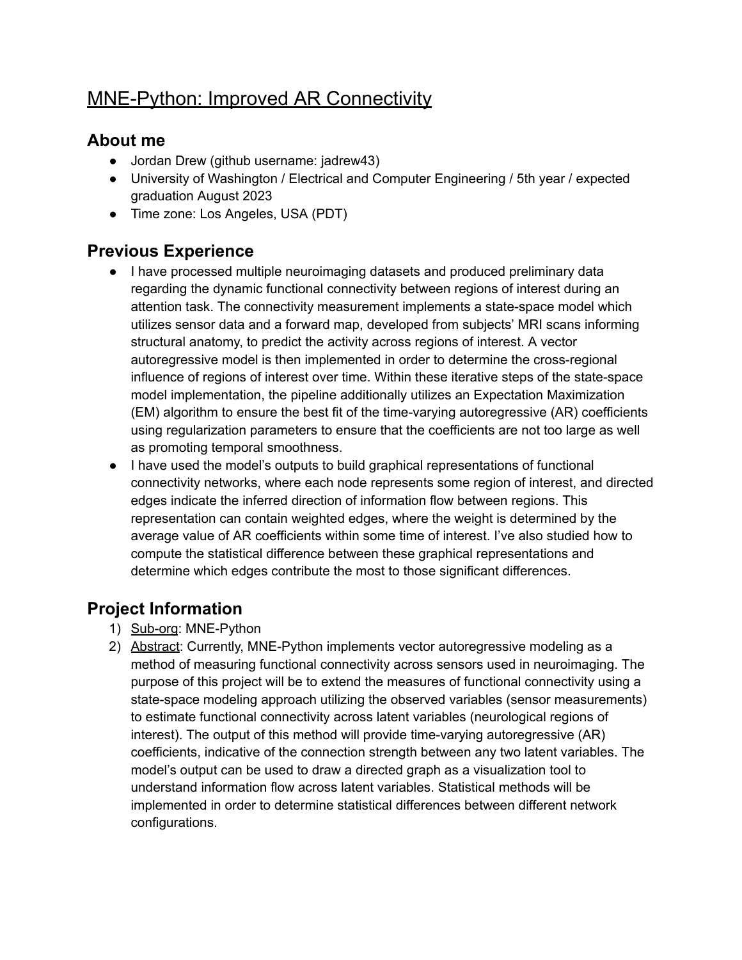# MNE-Python: Improved AR Connectivity

#### **About me**

- Jordan Drew (github username: jadrew43)
- University of Washington / Electrical and Computer Engineering / 5th year / expected graduation August 2023
- Time zone: Los Angeles, USA (PDT)

## **Previous Experience**

- I have processed multiple neuroimaging datasets and produced preliminary data regarding the dynamic functional connectivity between regions of interest during an attention task. The connectivity measurement implements a state-space model which utilizes sensor data and a forward map, developed from subjects' MRI scans informing structural anatomy, to predict the activity across regions of interest. A vector autoregressive model is then implemented in order to determine the cross-regional influence of regions of interest over time. Within these iterative steps of the state-space model implementation, the pipeline additionally utilizes an Expectation Maximization (EM) algorithm to ensure the best fit of the time-varying autoregressive (AR) coefficients using regularization parameters to ensure that the coefficients are not too large as well as promoting temporal smoothness.
- I have used the model's outputs to build graphical representations of functional connectivity networks, where each node represents some region of interest, and directed edges indicate the inferred direction of information flow between regions. This representation can contain weighted edges, where the weight is determined by the average value of AR coefficients within some time of interest. I've also studied how to compute the statistical difference between these graphical representations and determine which edges contribute the most to those significant differences.

## **Project Information**

- 1) Sub-org: MNE-Python
- 2) Abstract: Currently, MNE-Python implements vector autoregressive modeling as a method of measuring functional connectivity across sensors used in neuroimaging. The purpose of this project will be to extend the measures of functional connectivity using a state-space modeling approach utilizing the observed variables (sensor measurements) to estimate functional connectivity across latent variables (neurological regions of interest). The output of this method will provide time-varying autoregressive (AR) coefficients, indicative of the connection strength between any two latent variables. The model's output can be used to draw a directed graph as a visualization tool to understand information flow across latent variables. Statistical methods will be implemented in order to determine statistical differences between different network configurations.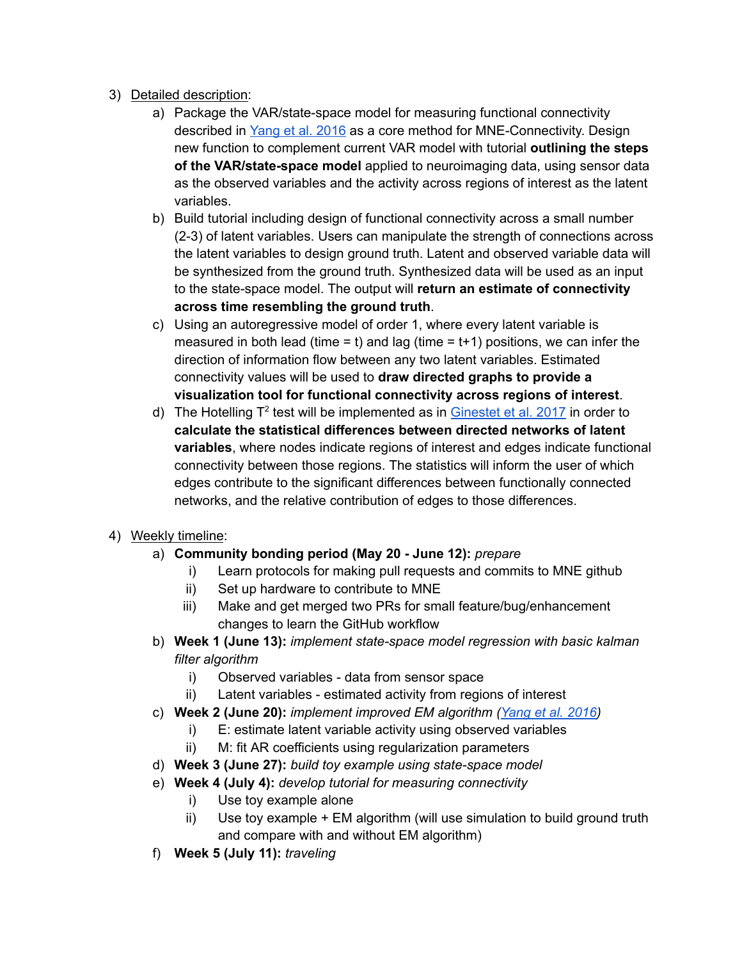- 3) Detailed description:
	- a) Package the VAR/state-space model for measuring functional connectivity described in [Yang](https://www.stat.cmu.edu/~kass/papers/YingNIPS16.pdf) et al. 2016 as a core method for MNE-Connectivity. Design new function to complement current VAR model with tutorial **outlining the steps of the VAR/state-space model** applied to neuroimaging data, using sensor data as the observed variables and the activity across regions of interest as the latent variables.
	- b) Build tutorial including design of functional connectivity across a small number (2-3) of latent variables. Users can manipulate the strength of connections across the latent variables to design ground truth. Latent and observed variable data will be synthesized from the ground truth. Synthesized data will be used as an input to the state-space model. The output will **return an estimate of connectivity across time resembling the ground truth**.
	- c) Using an autoregressive model of order 1, where every latent variable is measured in both lead (time = t) and lag (time =  $t+1$ ) positions, we can infer the direction of information flow between any two latent variables. Estimated connectivity values will be used to **draw directed graphs to provide a visualization tool for functional connectivity across regions of interest**.
	- d) The Hotelling T<sup>2</sup> test will be implemented as in **[Ginestet](https://www.researchgate.net/publication/318947897_Hypothesis_testing_for_network_data_in_functional_neuroimaging) et al. 2017** in order to **calculate the statistical differences between directed networks of latent variables**, where nodes indicate regions of interest and edges indicate functional connectivity between those regions. The statistics will inform the user of which edges contribute to the significant differences between functionally connected networks, and the relative contribution of edges to those differences.

#### 4) Weekly timeline:

- a) **Community bonding period (May 20 - June 12):** *prepare*
	- i) Learn protocols for making pull requests and commits to MNE github
	- ii) Set up hardware to contribute to MNE
	- iii) Make and get merged two PRs for small feature/bug/enhancement changes to learn the GitHub workflow
- b) **Week 1 (June 13):** *implement state-space model regression with basic kalman filter algorithm*
	- i) Observed variables data from sensor space
	- ii) Latent variables estimated activity from regions of interest
- c) **Week 2 (June 20):** *implement improved EM algorithm [\(Yang](https://www.stat.cmu.edu/~kass/papers/YingNIPS16.pdf) et al. 2016)*
	- i) E: estimate latent variable activity using observed variables
	- ii) M: fit AR coefficients using regularization parameters
- d) **Week 3 (June 27):** *build toy example using state-space model*
- e) **Week 4 (July 4):** *develop tutorial for measuring connectivity*
	- i) Use toy example alone
	- ii) Use toy example + EM algorithm (will use simulation to build ground truth and compare with and without EM algorithm)
- f) **Week 5 (July 11):** *traveling*